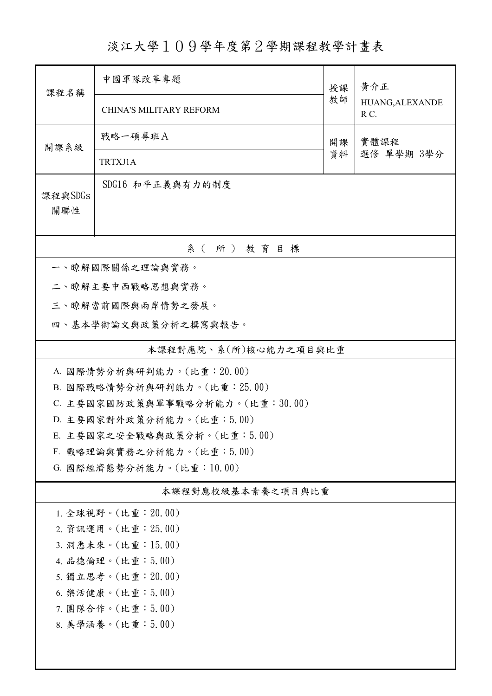## 淡江大學109學年度第2學期課程教學計畫表

| 課程名稱                                     | 中國軍隊改革專題                                              | 授課 | 黃介正<br>HUANG, ALEXANDE<br>RC. |  |  |
|------------------------------------------|-------------------------------------------------------|----|-------------------------------|--|--|
|                                          | <b>CHINA'S MILITARY REFORM</b>                        | 教師 |                               |  |  |
| 開課系級                                     | 戰略一碩專班A                                               | 開課 | 實體課程<br>選修 單學期 3學分            |  |  |
|                                          | TRTXJ1A                                               | 資料 |                               |  |  |
| 課程與SDGs<br>關聯性                           | SDG16 和平正義與有力的制度                                      |    |                               |  |  |
| 系(所)教育目標                                 |                                                       |    |                               |  |  |
|                                          | 一、瞭解國際關係之理論與實務。                                       |    |                               |  |  |
|                                          | 二、瞭解主要中西戰略思想與實務。                                      |    |                               |  |  |
|                                          | 三、瞭解當前國際與兩岸情勢之發展。                                     |    |                               |  |  |
|                                          | 四、基本學術論文與政策分析之撰寫與報告。                                  |    |                               |  |  |
|                                          | 本課程對應院、系(所)核心能力之項目與比重                                 |    |                               |  |  |
|                                          | A. 國際情勢分析與研判能力。(比重: 20.00)                            |    |                               |  |  |
| B. 國際戰略情勢分析與研判能力。(比重: 25.00)             |                                                       |    |                               |  |  |
|                                          | C. 主要國家國防政策與軍事戰略分析能力。(比重:30.00)                       |    |                               |  |  |
|                                          | D. 主要國家對外政策分析能力。(比重:5.00)                             |    |                               |  |  |
|                                          | E. 主要國家之安全戰略與政策分析。(比重:5.00)                           |    |                               |  |  |
|                                          | F. 戰略理論與實務之分析能力。(比重:5.00)<br>G. 國際經濟態勢分析能力。(比重:10.00) |    |                               |  |  |
|                                          |                                                       |    |                               |  |  |
|                                          | 本課程對應校級基本素養之項目與比重                                     |    |                               |  |  |
|                                          | 1. 全球視野。(比重: 20.00)                                   |    |                               |  |  |
| 2. 資訊運用。(比重: 25.00)                      |                                                       |    |                               |  |  |
| 3. 洞悉未來。(比重:15.00)                       |                                                       |    |                               |  |  |
| 4. 品德倫理。(比重:5.00)<br>5. 獨立思考。(比重: 20.00) |                                                       |    |                               |  |  |
| 6. 樂活健康。(比重:5.00)                        |                                                       |    |                               |  |  |
| 7. 團隊合作。(比重:5.00)                        |                                                       |    |                               |  |  |
| 8. 美學涵養。(比重:5.00)                        |                                                       |    |                               |  |  |
|                                          |                                                       |    |                               |  |  |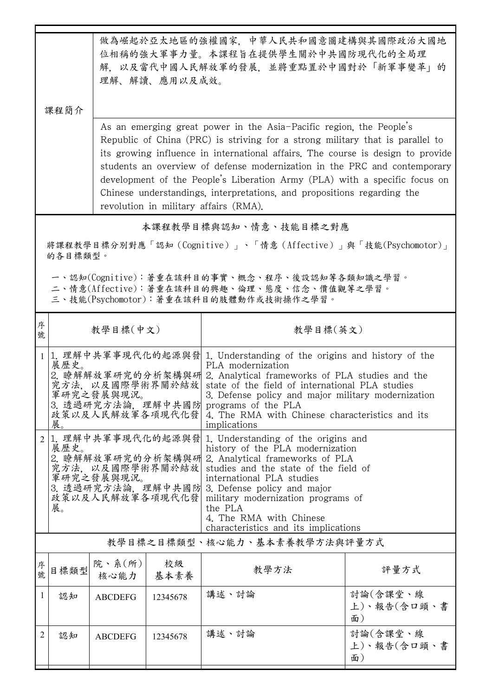|                                                                                                                                        | 課程簡介                                                                                                                                                                 |                                                                                                                                                                                                                                                                                                                                                                                                                                           | 理解、解讀、應用以及成效。                                                                                                                                                                                                                                                                                                                                                                                                                                                                                                          | 做為崛起於亞太地區的強權國家,中華人民共和國意圖建構與其國際政治大國地<br>位相稱的強大軍事力量。本課程旨在提供學生關於中共國防現代化的全局理<br>解,以及當代中國人民解放軍的發展,並將重點置於中國對於「新軍事變革」的                                                                                                                                                                     |                               |  |
|----------------------------------------------------------------------------------------------------------------------------------------|----------------------------------------------------------------------------------------------------------------------------------------------------------------------|-------------------------------------------------------------------------------------------------------------------------------------------------------------------------------------------------------------------------------------------------------------------------------------------------------------------------------------------------------------------------------------------------------------------------------------------|------------------------------------------------------------------------------------------------------------------------------------------------------------------------------------------------------------------------------------------------------------------------------------------------------------------------------------------------------------------------------------------------------------------------------------------------------------------------------------------------------------------------|-------------------------------------------------------------------------------------------------------------------------------------------------------------------------------------------------------------------------------------------------------------------------------------|-------------------------------|--|
|                                                                                                                                        |                                                                                                                                                                      |                                                                                                                                                                                                                                                                                                                                                                                                                                           | As an emerging great power in the Asia-Pacific region, the People's<br>Republic of China (PRC) is striving for a strong military that is parallel to<br>its growing influence in international affairs. The course is design to provide<br>students an overview of defense modernization in the PRC and contemporary<br>development of the People's Liberation Army (PLA) with a specific focus on<br>Chinese understandings, interpretations, and propositions regarding the<br>revolution in military affairs (RMA). |                                                                                                                                                                                                                                                                                     |                               |  |
|                                                                                                                                        |                                                                                                                                                                      |                                                                                                                                                                                                                                                                                                                                                                                                                                           |                                                                                                                                                                                                                                                                                                                                                                                                                                                                                                                        | 本課程教學目標與認知、情意、技能目標之對應                                                                                                                                                                                                                                                               |                               |  |
|                                                                                                                                        | 的各目標類型。                                                                                                                                                              |                                                                                                                                                                                                                                                                                                                                                                                                                                           |                                                                                                                                                                                                                                                                                                                                                                                                                                                                                                                        | 將課程教學目標分別對應「認知(Cognitive)」、「情意(Affective)」與「技能(Psychomotor)」                                                                                                                                                                                                                        |                               |  |
| 一、認知(Cognitive):著重在該科目的事實、概念、程序、後設認知等各類知識之學習。<br>二、情意(Affective):著重在該科目的興趣、倫理、態度、信念、價值觀等之學習。<br>三、技能(Psychomotor):著重在該科目的肢體動作或技術操作之學習。 |                                                                                                                                                                      |                                                                                                                                                                                                                                                                                                                                                                                                                                           |                                                                                                                                                                                                                                                                                                                                                                                                                                                                                                                        |                                                                                                                                                                                                                                                                                     |                               |  |
| 序<br>號                                                                                                                                 |                                                                                                                                                                      | 教學目標(中文)                                                                                                                                                                                                                                                                                                                                                                                                                                  |                                                                                                                                                                                                                                                                                                                                                                                                                                                                                                                        | 教學目標(英文)                                                                                                                                                                                                                                                                            |                               |  |
|                                                                                                                                        | 展歷史。<br>展。                                                                                                                                                           | 1. 理解中共軍事現代化的起源與發 1. Understanding of the origins and history of the<br>PLA modernization<br>2. 瞭解解放軍研究的分析架構與研 2. Analytical frameworks of PLA studies and the<br>究方法, 以及國際學術界關於結放<br>state of the field of international PLA studies<br>軍研究之發展與現況。<br>3. Defense policy and major military modernization<br>3. 透過研究方法論. 理解中共國防 programs of the PLA<br>政策以及人民解放軍各項現代化發<br>4. The RMA with Chinese characteristics and its<br>implications |                                                                                                                                                                                                                                                                                                                                                                                                                                                                                                                        |                                                                                                                                                                                                                                                                                     |                               |  |
| $\overline{2}$                                                                                                                         | 展歷史。<br>2. 瞭解解放軍研究的分析架構與研 2. Analytical frameworks of PLA<br>究方法,以及國際學術界關於結放<br>軍研究之發展與現況。<br>3. 透過研究方法論,理解中共國防 3. Defense policy and major<br>政策以及人民解放軍各項現代化發<br>展。 |                                                                                                                                                                                                                                                                                                                                                                                                                                           |                                                                                                                                                                                                                                                                                                                                                                                                                                                                                                                        | 1. 理解中共軍事現代化的起源與發 1. Understanding of the origins and<br>history of the PLA modernization<br>studies and the state of the field of<br>international PLA studies<br>military modernization programs of<br>the PLA<br>4. The RMA with Chinese<br>characteristics and its implications |                               |  |
|                                                                                                                                        |                                                                                                                                                                      |                                                                                                                                                                                                                                                                                                                                                                                                                                           |                                                                                                                                                                                                                                                                                                                                                                                                                                                                                                                        | 教學目標之目標類型、核心能力、基本素養教學方法與評量方式                                                                                                                                                                                                                                                        |                               |  |
| 序號                                                                                                                                     | 目標類型                                                                                                                                                                 | 院、系(所)<br>核心能力                                                                                                                                                                                                                                                                                                                                                                                                                            | 校級<br>基本素養                                                                                                                                                                                                                                                                                                                                                                                                                                                                                                             | 教學方法                                                                                                                                                                                                                                                                                | 評量方式                          |  |
| 1                                                                                                                                      | 認知                                                                                                                                                                   | <b>ABCDEFG</b>                                                                                                                                                                                                                                                                                                                                                                                                                            | 12345678                                                                                                                                                                                                                                                                                                                                                                                                                                                                                                               | 講述、討論                                                                                                                                                                                                                                                                               | 討論(含課堂、線<br>上)、報告(含口頭、書<br>面) |  |
| 2                                                                                                                                      | 認知                                                                                                                                                                   | <b>ABCDEFG</b>                                                                                                                                                                                                                                                                                                                                                                                                                            | 12345678                                                                                                                                                                                                                                                                                                                                                                                                                                                                                                               | 講述、討論                                                                                                                                                                                                                                                                               | 討論(含課堂、線<br>上)、報告(含口頭、書<br>面) |  |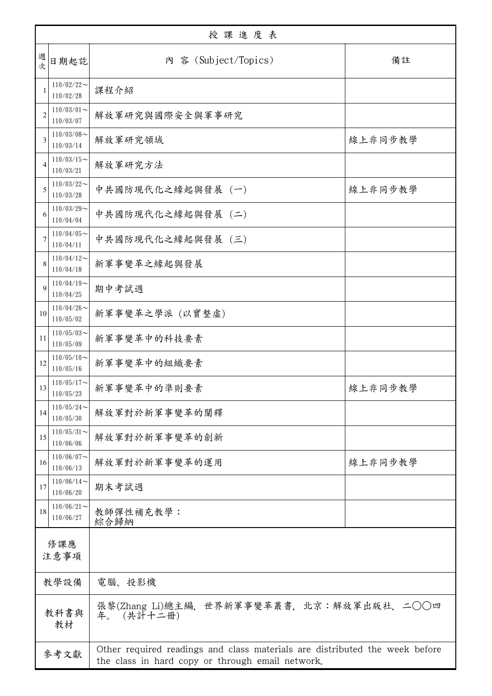| 授課進度表          |                            |                                                                                                                                 |         |  |
|----------------|----------------------------|---------------------------------------------------------------------------------------------------------------------------------|---------|--|
| 週<br>。<br>次    | 日期起訖                       | 内 容 (Subject/Topics)                                                                                                            | 備註      |  |
| $\mathbf{1}$   | $110/02/22$ ~<br>110/02/28 | 課程介紹                                                                                                                            |         |  |
| $\overline{2}$ | $110/03/01$ ~<br>110/03/07 | 解放軍研究與國際安全與軍事研究                                                                                                                 |         |  |
| 3              | $110/03/08$ ~<br>110/03/14 | 解放軍研究領域                                                                                                                         | 線上非同步教學 |  |
| $\overline{4}$ | $110/03/15$ ~<br>110/03/21 | 解放軍研究方法                                                                                                                         |         |  |
| 5              | $110/03/22$ ~<br>110/03/28 | 中共國防現代化之緣起與發展 (一)                                                                                                               | 線上非同步教學 |  |
| 6              | $110/03/29$ ~<br>110/04/04 | 中共國防現代化之緣起與發展 (二)                                                                                                               |         |  |
| 7              | $110/04/05$ ~<br>110/04/11 | 中共國防現代化之緣起與發展 (三)                                                                                                               |         |  |
| 8              | $110/04/12$ ~<br>110/04/18 | 新軍事變革之緣起與發展                                                                                                                     |         |  |
| 9              | $110/04/19$ ~<br>110/04/25 | 期中考試週                                                                                                                           |         |  |
| 10             | $110/04/26$ ~<br>110/05/02 | 新軍事變革之學派 (以實整虛)                                                                                                                 |         |  |
| 11             | $110/05/03$ ~<br>110/05/09 | 新軍事變革中的科技要素                                                                                                                     |         |  |
| 12             | $110/05/10$ ~<br>110/05/16 | 新軍事變革中的組織要素                                                                                                                     |         |  |
| 13             | $110/05/17$ ~<br>110/05/23 | 新軍事變革中的準則要素                                                                                                                     | 線上非同步教學 |  |
| 14             | $110/05/24$ ~<br>110/05/30 | 解放軍對於新軍事變革的闡釋                                                                                                                   |         |  |
| 15             | $110/05/31$ ~<br>110/06/06 | 解放軍對於新軍事變革的創新                                                                                                                   |         |  |
| 16             | $110/06/07$ ~<br>110/06/13 | 解放軍對於新軍事變革的運用                                                                                                                   | 線上非同步教學 |  |
| 17             | $110/06/14$ ~<br>110/06/20 | 期末考試週                                                                                                                           |         |  |
| 18             | $110/06/21$ ~<br>110/06/27 | 教師彈性補充教學:<br>綜合歸納                                                                                                               |         |  |
| 修課應<br>注意事項    |                            |                                                                                                                                 |         |  |
| 教學設備           |                            | 電腦、投影機                                                                                                                          |         |  |
| 教科書與<br>教材     |                            | 張黎(Zhang Li)總主編, 世界新軍事變革叢書, 北京:解放軍出版社, 二○○四<br>(共計十二冊)<br>年。                                                                    |         |  |
| 參考文獻           |                            | Other required readings and class materials are distributed the week before<br>the class in hard copy or through email network. |         |  |